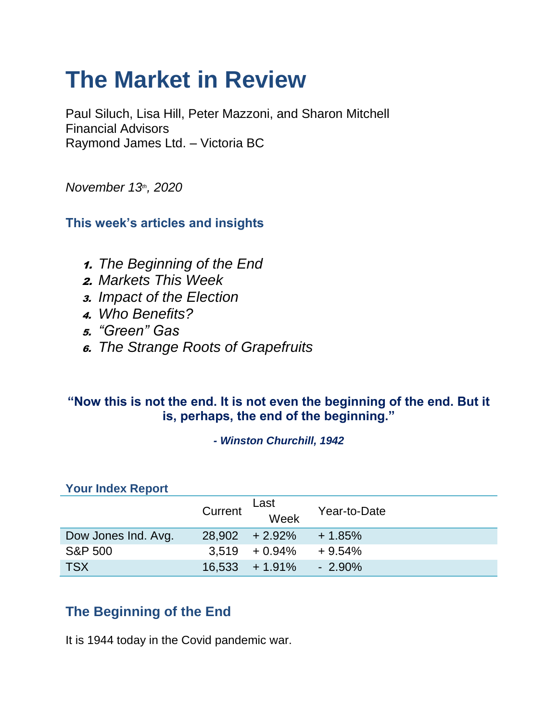# **The Market in Review**

Paul Siluch, Lisa Hill, Peter Mazzoni, and Sharon Mitchell Financial Advisors Raymond James Ltd. – Victoria BC

*November 13th, 2020*

**This week's articles and insights**

- 1. *The Beginning of the End*
- 2. *Markets This Week*
- 3. *Impact of the Election*
- 4. *Who Benefits?*
- 5. *"Green" Gas*
- 6. *The Strange Roots of Grapefruits*

### **"Now this is not the end. It is not even the beginning of the end. But it is, perhaps, the end of the beginning."**

*- Winston Churchill, 1942*

#### **Your Index Report**

|                     | Current | Last<br>Week      | Year-to-Date |
|---------------------|---------|-------------------|--------------|
| Dow Jones Ind. Avg. |         | $28,902 + 2.92\%$ | $+1.85%$     |
| S&P 500             |         | $3.519 + 0.94\%$  | $+9.54%$     |
| <b>TSX</b>          |         | $16.533 + 1.91\%$ | $-2.90\%$    |

### **The Beginning of the End**

It is 1944 today in the Covid pandemic war.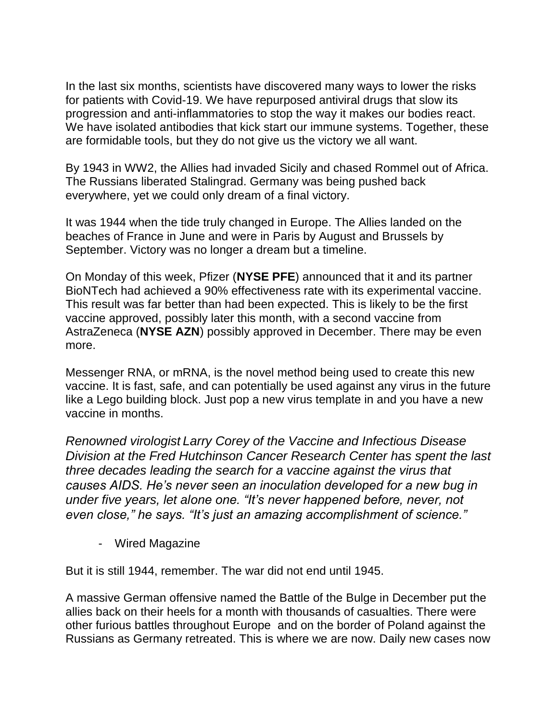In the last six months, scientists have discovered many ways to lower the risks for patients with Covid-19. We have repurposed antiviral drugs that slow its progression and anti-inflammatories to stop the way it makes our bodies react. We have isolated antibodies that kick start our immune systems. Together, these are formidable tools, but they do not give us the victory we all want.

By 1943 in WW2, the Allies had invaded Sicily and chased Rommel out of Africa. The Russians liberated Stalingrad. Germany was being pushed back everywhere, yet we could only dream of a final victory.

It was 1944 when the tide truly changed in Europe. The Allies landed on the beaches of France in June and were in Paris by August and Brussels by September. Victory was no longer a dream but a timeline.

On Monday of this week, Pfizer (**NYSE PFE**) announced that it and its partner BioNTech had achieved a 90% effectiveness rate with its experimental vaccine. This result was far better than had been expected. This is likely to be the first vaccine approved, possibly later this month, with a second vaccine from AstraZeneca (**NYSE AZN**) possibly approved in December. There may be even more.

Messenger RNA, or mRNA, is the novel method being used to create this new vaccine. It is fast, safe, and can potentially be used against any virus in the future like a Lego building block. Just pop a new virus template in and you have a new vaccine in months.

*Renowned virologist Larry Corey of the Vaccine and Infectious Disease Division at the Fred Hutchinson Cancer Research Center has spent the last three decades leading the search for a vaccine against the virus that causes AIDS. He's never seen an inoculation developed for a new bug in under five years, let alone one. "It's never happened before, never, not even close," he says. "It's just an amazing accomplishment of science."*

- Wired Magazine

But it is still 1944, remember. The war did not end until 1945.

A massive German offensive named the Battle of the Bulge in December put the allies back on their heels for a month with thousands of casualties. There were other furious battles throughout Europe and on the border of Poland against the Russians as Germany retreated. This is where we are now. Daily new cases now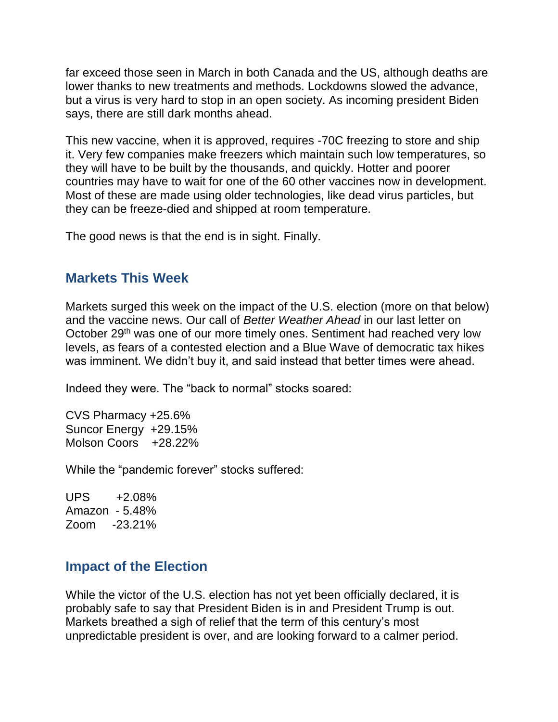far exceed those seen in March in both Canada and the US, although deaths are lower thanks to new treatments and methods. Lockdowns slowed the advance, but a virus is very hard to stop in an open society. As incoming president Biden says, there are still dark months ahead.

This new vaccine, when it is approved, requires -70C freezing to store and ship it. Very few companies make freezers which maintain such low temperatures, so they will have to be built by the thousands, and quickly. Hotter and poorer countries may have to wait for one of the 60 other vaccines now in development. Most of these are made using older technologies, like dead virus particles, but they can be freeze-died and shipped at room temperature.

The good news is that the end is in sight. Finally.

### **Markets This Week**

Markets surged this week on the impact of the U.S. election (more on that below) and the vaccine news. Our call of *Better Weather Ahead* in our last letter on October 29<sup>th</sup> was one of our more timely ones. Sentiment had reached very low levels, as fears of a contested election and a Blue Wave of democratic tax hikes was imminent. We didn't buy it, and said instead that better times were ahead.

Indeed they were. The "back to normal" stocks soared:

CVS Pharmacy +25.6% Suncor Energy +29.15% Molson Coors +28.22%

While the "pandemic forever" stocks suffered:

UPS +2.08% Amazon - 5.48% Zoom -23.21%

### **Impact of the Election**

While the victor of the U.S. election has not yet been officially declared, it is probably safe to say that President Biden is in and President Trump is out. Markets breathed a sigh of relief that the term of this century's most unpredictable president is over, and are looking forward to a calmer period.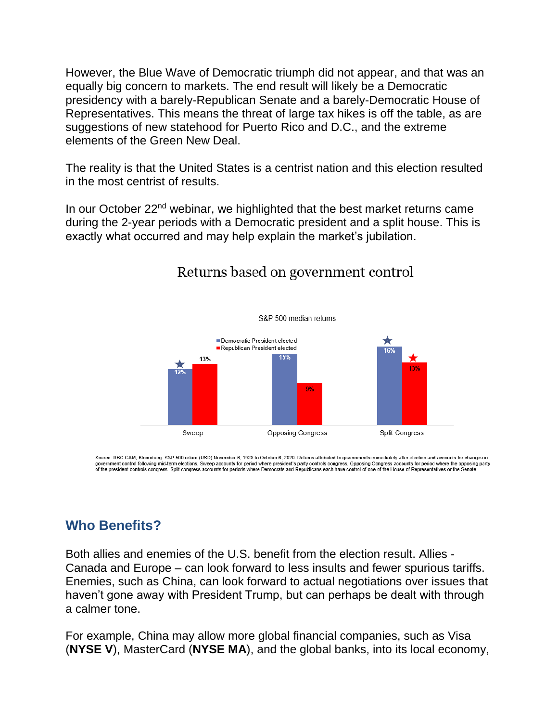However, the Blue Wave of Democratic triumph did not appear, and that was an equally big concern to markets. The end result will likely be a Democratic presidency with a barely-Republican Senate and a barely-Democratic House of Representatives. This means the threat of large tax hikes is off the table, as are suggestions of new statehood for Puerto Rico and D.C., and the extreme elements of the Green New Deal.

The reality is that the United States is a centrist nation and this election resulted in the most centrist of results.

In our October 22<sup>nd</sup> webinar, we highlighted that the best market returns came during the 2-year periods with a Democratic president and a split house. This is exactly what occurred and may help explain the market's jubilation.



### Returns based on government control

Source: RBC GAM, Bloomberg. S&P 500 return (USD) November 6, 1928 to October 6, 2020. Returns attributed to governments immediately after election and accounts for changes in government control following mid-term elections. Sweep accounts for period where president's party controls congress. Opposing Congress accounts for period where the opposing party<br>of the president controls congress. Split

### **Who Benefits?**

Both allies and enemies of the U.S. benefit from the election result. Allies - Canada and Europe – can look forward to less insults and fewer spurious tariffs. Enemies, such as China, can look forward to actual negotiations over issues that haven't gone away with President Trump, but can perhaps be dealt with through a calmer tone.

For example, China may allow more global financial companies, such as Visa (**NYSE V**), MasterCard (**NYSE MA**), and the global banks, into its local economy,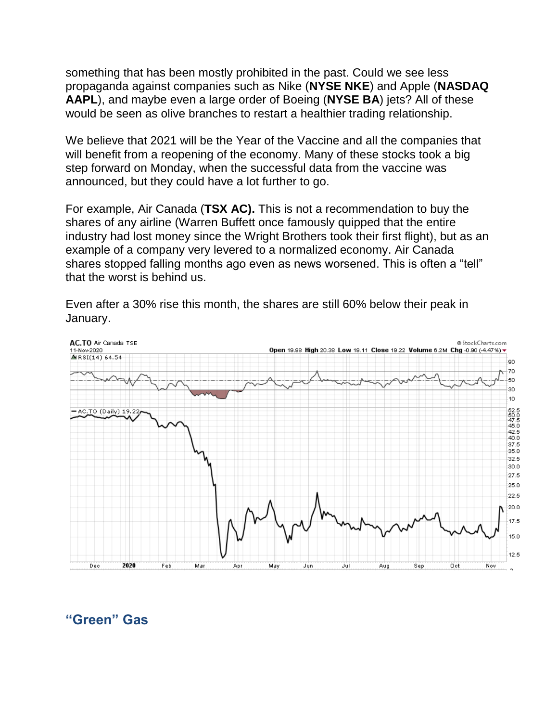something that has been mostly prohibited in the past. Could we see less propaganda against companies such as Nike (**NYSE NKE**) and Apple (**NASDAQ AAPL**), and maybe even a large order of Boeing (**NYSE BA**) jets? All of these would be seen as olive branches to restart a healthier trading relationship.

We believe that 2021 will be the Year of the Vaccine and all the companies that will benefit from a reopening of the economy. Many of these stocks took a big step forward on Monday, when the successful data from the vaccine was announced, but they could have a lot further to go.

For example, Air Canada (**TSX AC).** This is not a recommendation to buy the shares of any airline (Warren Buffett once famously quipped that the entire industry had lost money since the Wright Brothers took their first flight), but as an example of a company very levered to a normalized economy. Air Canada shares stopped falling months ago even as news worsened. This is often a "tell" that the worst is behind us.

Even after a 30% rise this month, the shares are still 60% below their peak in January.



**"Green" Gas**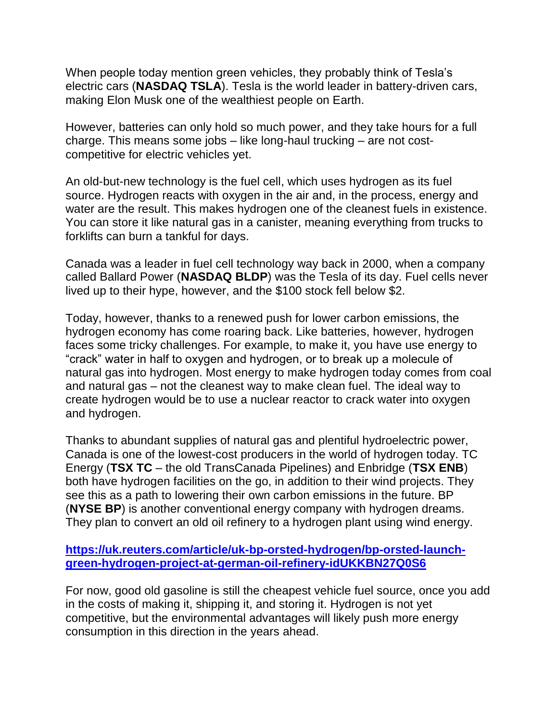When people today mention green vehicles, they probably think of Tesla's electric cars (**NASDAQ TSLA**). Tesla is the world leader in battery-driven cars, making Elon Musk one of the wealthiest people on Earth.

However, batteries can only hold so much power, and they take hours for a full charge. This means some jobs – like long-haul trucking – are not costcompetitive for electric vehicles yet.

An old-but-new technology is the fuel cell, which uses hydrogen as its fuel source. Hydrogen reacts with oxygen in the air and, in the process, energy and water are the result. This makes hydrogen one of the cleanest fuels in existence. You can store it like natural gas in a canister, meaning everything from trucks to forklifts can burn a tankful for days.

Canada was a leader in fuel cell technology way back in 2000, when a company called Ballard Power (**NASDAQ BLDP**) was the Tesla of its day. Fuel cells never lived up to their hype, however, and the \$100 stock fell below \$2.

Today, however, thanks to a renewed push for lower carbon emissions, the hydrogen economy has come roaring back. Like batteries, however, hydrogen faces some tricky challenges. For example, to make it, you have use energy to "crack" water in half to oxygen and hydrogen, or to break up a molecule of natural gas into hydrogen. Most energy to make hydrogen today comes from coal and natural gas – not the cleanest way to make clean fuel. The ideal way to create hydrogen would be to use a nuclear reactor to crack water into oxygen and hydrogen.

Thanks to abundant supplies of natural gas and plentiful hydroelectric power, Canada is one of the lowest-cost producers in the world of hydrogen today. TC Energy (**TSX TC** – the old TransCanada Pipelines) and Enbridge (**TSX ENB**) both have hydrogen facilities on the go, in addition to their wind projects. They see this as a path to lowering their own carbon emissions in the future. BP (**NYSE BP**) is another conventional energy company with hydrogen dreams. They plan to convert an old oil refinery to a hydrogen plant using wind energy.

#### **[https://uk.reuters.com/article/uk-bp-orsted-hydrogen/bp-orsted-launch](https://uk.reuters.com/article/uk-bp-orsted-hydrogen/bp-orsted-launch-green-hydrogen-project-at-german-oil-refinery-idUKKBN27Q0S6)[green-hydrogen-project-at-german-oil-refinery-idUKKBN27Q0S6](https://uk.reuters.com/article/uk-bp-orsted-hydrogen/bp-orsted-launch-green-hydrogen-project-at-german-oil-refinery-idUKKBN27Q0S6)**

For now, good old gasoline is still the cheapest vehicle fuel source, once you add in the costs of making it, shipping it, and storing it. Hydrogen is not yet competitive, but the environmental advantages will likely push more energy consumption in this direction in the years ahead.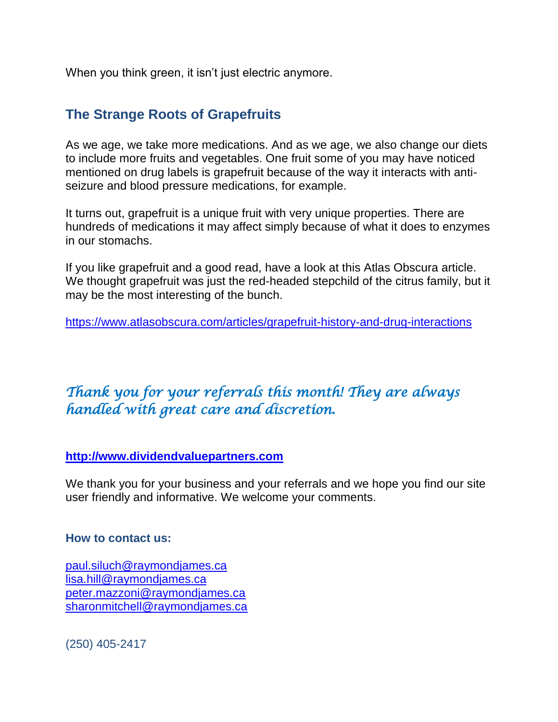When you think green, it isn't just electric anymore.

### **The Strange Roots of Grapefruits**

As we age, we take more medications. And as we age, we also change our diets to include more fruits and vegetables. One fruit some of you may have noticed mentioned on drug labels is grapefruit because of the way it interacts with antiseizure and blood pressure medications, for example.

It turns out, grapefruit is a unique fruit with very unique properties. There are hundreds of medications it may affect simply because of what it does to enzymes in our stomachs.

If you like grapefruit and a good read, have a look at this Atlas Obscura article. We thought grapefruit was just the red-headed stepchild of the citrus family, but it may be the most interesting of the bunch.

<https://www.atlasobscura.com/articles/grapefruit-history-and-drug-interactions>

## *Thank you for your referrals this month! They are always handled with great care and discretion.*

#### **[http://www.dividendvaluepartners.com](https://eur04.safelinks.protection.outlook.com/?url=https%3A%2F%2Furldefense.proofpoint.com%2Fv2%2Furl%3Fu%3Dhttps-3A__nam11.safelinks.protection.outlook.com_-3Furl-3Dhttps-253A-252F-252Furldefense.proofpoint.com-252Fv2-252Furl-253Fu-253Dhttp-2D3A-5F-5Fwww.dividendvaluepartners.com-2526d-253DDwMFAw-2526c-253DK3dQCUGiI1B95NJ6cl3GoyhMW2dvBOfimZA-2D83UXll0-2526r-253D-5F6MBBSGYsFznIBwslhTiqBKEz4pHUCTd-5F9tbh-5FEpUMY-2526m-253DscBAtuMDuWZwK1IVr5YXjdB6aRS-2DfaGHAMq3jOn6sJU-2526s-253DenZqe4ZgcjH-5F33x5dT-2DvZq9A37d4AhNkXvjc6AbmYww-2526e-253D-26data-3D02-257C01-257C-257Cc172461ecbee4482512908d85e8192cf-257C84df9e7fe9f640afb435aaaaaaaaaaaa-257C1-257C0-257C637363258183615686-26sdata-3DewMvepveEmLgP7SL0jTlvLtATqW9IhbJ2C3UL0Em04c-253D-26reserved-3D0%26d%3DDwMF-g%26c%3DK3dQCUGiI1B95NJ6cl3GoyhMW2dvBOfimZA-83UXll0%26r%3D_6MBBSGYsFznIBwslhTiqBKEz4pHUCTd_9tbh_EpUMY%26m%3D7qOaEnVxLdGuCP74qXGTNk9xkBSFm8R3CYYmRfTv9PQ%26s%3DW8OEBAbaLee5suYwpNsPIikduscCx0SIuOWzAWRhAvc%26e%3D&data=02%7C01%7C%7C8a16eb9ab3cc4e585bab08d86b14e24b%7C84df9e7fe9f640afb435aaaaaaaaaaaa%7C1%7C0%7C637377085227534400&sdata=zzJlT4ayZo7AuSbfVFBCALNa%2FJqw6uhZi8Xlc7hQZtE%3D&reserved=0)**

We thank you for your business and your referrals and we hope you find our site user friendly and informative. We welcome your comments.

#### **How to contact us:**

[paul.siluch@raymondjames.ca](https://eur04.safelinks.protection.outlook.com/?url=https%3A%2F%2Furldefense.proofpoint.com%2Fv2%2Furl%3Fu%3Dhttps-3A__nam11.safelinks.protection.outlook.com_-3Furl-3Dhttps-253A-252F-252Fowa-2Dkel.raymondjames.ca-252Fowa-252Fredir.aspx-253FSURL-253Dz0BxOCXDlQ-2DAad1f-5Fa9igaARxm5Rd1VXE7UcmD4mZ3IZiacj7DPTCG0AYQBpAGwAdABvADoAcABhAHUAbAAuAHMAaQBsAHUAYwBoAEAAcgBhAHkAbQBvAG4AZABqAGEAbQBlAHMALgBjAGEA-2526URL-253Dmailto-25253apaul.siluch-252540raymondjames.ca-26data-3D02-257C01-257C-257Cc172461ecbee4482512908d85e8192cf-257C84df9e7fe9f640afb435aaaaaaaaaaaa-257C1-257C0-257C637363258183625679-26sdata-3DHJ7PtuamH3ey-252Bis0LQS7WLUtHpHoAnxnHrYxprmWKn4-253D-26reserved-3D0%26d%3DDwMF-g%26c%3DK3dQCUGiI1B95NJ6cl3GoyhMW2dvBOfimZA-83UXll0%26r%3D_6MBBSGYsFznIBwslhTiqBKEz4pHUCTd_9tbh_EpUMY%26m%3D7qOaEnVxLdGuCP74qXGTNk9xkBSFm8R3CYYmRfTv9PQ%26s%3DTKyIHrHn9jy3BGThbM3t6qa96Jt8NZSlnsJ21h5JIRM%26e%3D&data=02%7C01%7C%7C8a16eb9ab3cc4e585bab08d86b14e24b%7C84df9e7fe9f640afb435aaaaaaaaaaaa%7C1%7C0%7C637377085227544398&sdata=JNWyFZFoob4Jy6fPXmZiln9HSChMixeL83naEfwOpMM%3D&reserved=0) [lisa.hill@raymondjames.ca](https://eur04.safelinks.protection.outlook.com/?url=https%3A%2F%2Furldefense.proofpoint.com%2Fv2%2Furl%3Fu%3Dhttps-3A__nam11.safelinks.protection.outlook.com_-3Furl-3Dhttps-253A-252F-252Fowa-2Dkel.raymondjames.ca-252Fowa-252Fredir.aspx-253FSURL-253DglaBgdTdxPMFpiw4eumg-2DPzZXpo9vJyObrXLs1TKtIAZiacj7DPTCG0AYQBpAGwAdABvADoAbABpAHMAYQAuAGgAaQBsAGwAQAByAGEAeQBtAG8AbgBkAGoAYQBtAGUAcwAuAGMAYQA.-2526URL-253Dmailto-25253alisa.hill-252540raymondjames.ca-26data-3D02-257C01-257C-257Cc172461ecbee4482512908d85e8192cf-257C84df9e7fe9f640afb435aaaaaaaaaaaa-257C1-257C0-257C637363258183625679-26sdata-3DlqUdr0V-252Bbj4LaURrM2MSPIDvGfk5bLYx0U1BkRoTrH4-253D-26reserved-3D0%26d%3DDwMF-g%26c%3DK3dQCUGiI1B95NJ6cl3GoyhMW2dvBOfimZA-83UXll0%26r%3D_6MBBSGYsFznIBwslhTiqBKEz4pHUCTd_9tbh_EpUMY%26m%3D7qOaEnVxLdGuCP74qXGTNk9xkBSFm8R3CYYmRfTv9PQ%26s%3Dc8alCSC-b4YnoP6-1kuPw_KdDfdlIvu8oQ_wi3WtrQw%26e%3D&data=02%7C01%7C%7C8a16eb9ab3cc4e585bab08d86b14e24b%7C84df9e7fe9f640afb435aaaaaaaaaaaa%7C1%7C0%7C637377085227554394&sdata=JD%2BrCiopwCPkaqqVwSvi1mS1%2BcEvr2qDmRTjzzF4npk%3D&reserved=0) [peter.mazzoni@raymondjames.ca](https://eur04.safelinks.protection.outlook.com/?url=https%3A%2F%2Furldefense.proofpoint.com%2Fv2%2Furl%3Fu%3Dhttps-3A__nam11.safelinks.protection.outlook.com_-3Furl-3Dhttps-253A-252F-252Fowa-2Dkel.raymondjames.ca-252Fowa-252Fredir.aspx-253FSURL-253D3c7mDL9-2DcZxYXt7CvkOu20QVFy1WCaDQxUZ3BQE6vecZiacj7DPTCG0AYQBpAGwAdABvADoAcABlAHQAZQByAC4AbQBhAHoAegBvAG4AaQBAAHIAYQB5AG0AbwBuAGQAagBhAG0AZQBzAC4AYwBhAA..-2526URL-253Dmailto-25253apeter.mazzoni-252540raymondjames.ca-26data-3D02-257C01-257C-257Cc172461ecbee4482512908d85e8192cf-257C84df9e7fe9f640afb435aaaaaaaaaaaa-257C1-257C0-257C637363258183635674-26sdata-3D1suYGaoqcgH5k419ERrAlAGzpG-252BufP-252FAE-252FdOZxq8Cus-253D-26reserved-3D0%26d%3DDwMF-g%26c%3DK3dQCUGiI1B95NJ6cl3GoyhMW2dvBOfimZA-83UXll0%26r%3D_6MBBSGYsFznIBwslhTiqBKEz4pHUCTd_9tbh_EpUMY%26m%3D7qOaEnVxLdGuCP74qXGTNk9xkBSFm8R3CYYmRfTv9PQ%26s%3Dmwchq7c2WnuY-oLgiUBkMdFmrEXBtoSxe2YfSBkWXZU%26e%3D&data=02%7C01%7C%7C8a16eb9ab3cc4e585bab08d86b14e24b%7C84df9e7fe9f640afb435aaaaaaaaaaaa%7C1%7C0%7C637377085227564389&sdata=VGxXSMYaOoINFeTp9mK0bEQdNoeg7gewByIWz64OZjE%3D&reserved=0) [sharonmitchell@raymondjames.ca](mailto:sharonmitchell@raymondjames.ca)

(250) 405-2417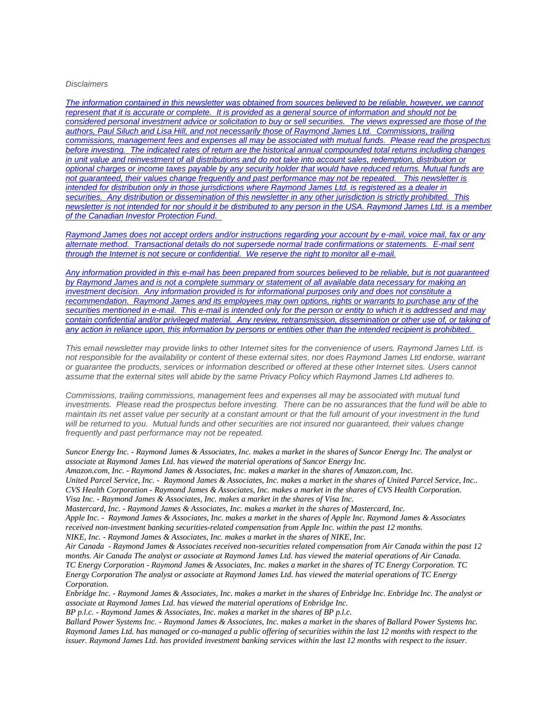#### *Disclaimers*

*[The information contained in this newsletter was obtained from sources believed to be reliable, however, we cannot](https://eur04.safelinks.protection.outlook.com/?url=https%3A%2F%2Furldefense.proofpoint.com%2Fv2%2Furl%3Fu%3Dhttps-3A__nam11.safelinks.protection.outlook.com_-3Furl-3Dhttps-253A-252F-252Fowa-2Dkel.raymondjames.ca-252Fowa-252Fredir.aspx-253FSURL-253Dz0BxOCXDlQ-2DAad1f-5Fa9igaARxm5Rd1VXE7UcmD4mZ3IZiacj7DPTCG0AYQBpAGwAdABvADoAcABhAHUAbAAuAHMAaQBsAHUAYwBoAEAAcgBhAHkAbQBvAG4AZABqAGEAbQBlAHMALgBjAGEA-2526URL-253Dmailto-25253apaul.siluch-252540raymondjames.ca-26data-3D02-257C01-257C-257Cc172461ecbee4482512908d85e8192cf-257C84df9e7fe9f640afb435aaaaaaaaaaaa-257C1-257C0-257C637363258183635674-26sdata-3DYxnEd1j-252BPKZ7O-252BaYYWd4rEqnA-252FsZJqXh5i43hxevA-252Bk-253D-26reserved-3D0%26d%3DDwMF-g%26c%3DK3dQCUGiI1B95NJ6cl3GoyhMW2dvBOfimZA-83UXll0%26r%3D_6MBBSGYsFznIBwslhTiqBKEz4pHUCTd_9tbh_EpUMY%26m%3D7qOaEnVxLdGuCP74qXGTNk9xkBSFm8R3CYYmRfTv9PQ%26s%3DnStAVPWry0CYI3VlF6rPrM0m6uEmVBMWcLnjvw4FcOQ%26e%3D&data=02%7C01%7C%7C8a16eb9ab3cc4e585bab08d86b14e24b%7C84df9e7fe9f640afb435aaaaaaaaaaaa%7C1%7C0%7C637377085227564389&sdata=%2FLT3okCUEtYywPn6lfOt69zF22qRd1eEUeVCI%2FhVHyE%3D&reserved=0)  represent that it is accurate or complete. [It is provided as a general source of information and should not be](https://eur04.safelinks.protection.outlook.com/?url=https%3A%2F%2Furldefense.proofpoint.com%2Fv2%2Furl%3Fu%3Dhttps-3A__nam11.safelinks.protection.outlook.com_-3Furl-3Dhttps-253A-252F-252Fowa-2Dkel.raymondjames.ca-252Fowa-252Fredir.aspx-253FSURL-253Dz0BxOCXDlQ-2DAad1f-5Fa9igaARxm5Rd1VXE7UcmD4mZ3IZiacj7DPTCG0AYQBpAGwAdABvADoAcABhAHUAbAAuAHMAaQBsAHUAYwBoAEAAcgBhAHkAbQBvAG4AZABqAGEAbQBlAHMALgBjAGEA-2526URL-253Dmailto-25253apaul.siluch-252540raymondjames.ca-26data-3D02-257C01-257C-257Cc172461ecbee4482512908d85e8192cf-257C84df9e7fe9f640afb435aaaaaaaaaaaa-257C1-257C0-257C637363258183635674-26sdata-3DYxnEd1j-252BPKZ7O-252BaYYWd4rEqnA-252FsZJqXh5i43hxevA-252Bk-253D-26reserved-3D0%26d%3DDwMF-g%26c%3DK3dQCUGiI1B95NJ6cl3GoyhMW2dvBOfimZA-83UXll0%26r%3D_6MBBSGYsFznIBwslhTiqBKEz4pHUCTd_9tbh_EpUMY%26m%3D7qOaEnVxLdGuCP74qXGTNk9xkBSFm8R3CYYmRfTv9PQ%26s%3DnStAVPWry0CYI3VlF6rPrM0m6uEmVBMWcLnjvw4FcOQ%26e%3D&data=02%7C01%7C%7C8a16eb9ab3cc4e585bab08d86b14e24b%7C84df9e7fe9f640afb435aaaaaaaaaaaa%7C1%7C0%7C637377085227564389&sdata=%2FLT3okCUEtYywPn6lfOt69zF22qRd1eEUeVCI%2FhVHyE%3D&reserved=0)  [considered personal investment advice or solicitation to buy or sell securities.](https://eur04.safelinks.protection.outlook.com/?url=https%3A%2F%2Furldefense.proofpoint.com%2Fv2%2Furl%3Fu%3Dhttps-3A__nam11.safelinks.protection.outlook.com_-3Furl-3Dhttps-253A-252F-252Fowa-2Dkel.raymondjames.ca-252Fowa-252Fredir.aspx-253FSURL-253Dz0BxOCXDlQ-2DAad1f-5Fa9igaARxm5Rd1VXE7UcmD4mZ3IZiacj7DPTCG0AYQBpAGwAdABvADoAcABhAHUAbAAuAHMAaQBsAHUAYwBoAEAAcgBhAHkAbQBvAG4AZABqAGEAbQBlAHMALgBjAGEA-2526URL-253Dmailto-25253apaul.siluch-252540raymondjames.ca-26data-3D02-257C01-257C-257Cc172461ecbee4482512908d85e8192cf-257C84df9e7fe9f640afb435aaaaaaaaaaaa-257C1-257C0-257C637363258183635674-26sdata-3DYxnEd1j-252BPKZ7O-252BaYYWd4rEqnA-252FsZJqXh5i43hxevA-252Bk-253D-26reserved-3D0%26d%3DDwMF-g%26c%3DK3dQCUGiI1B95NJ6cl3GoyhMW2dvBOfimZA-83UXll0%26r%3D_6MBBSGYsFznIBwslhTiqBKEz4pHUCTd_9tbh_EpUMY%26m%3D7qOaEnVxLdGuCP74qXGTNk9xkBSFm8R3CYYmRfTv9PQ%26s%3DnStAVPWry0CYI3VlF6rPrM0m6uEmVBMWcLnjvw4FcOQ%26e%3D&data=02%7C01%7C%7C8a16eb9ab3cc4e585bab08d86b14e24b%7C84df9e7fe9f640afb435aaaaaaaaaaaa%7C1%7C0%7C637377085227564389&sdata=%2FLT3okCUEtYywPn6lfOt69zF22qRd1eEUeVCI%2FhVHyE%3D&reserved=0) The views expressed are those of the [authors, Paul Siluch and Lisa Hill, and not necessarily those of Raymond James Ltd.](https://eur04.safelinks.protection.outlook.com/?url=https%3A%2F%2Furldefense.proofpoint.com%2Fv2%2Furl%3Fu%3Dhttps-3A__nam11.safelinks.protection.outlook.com_-3Furl-3Dhttps-253A-252F-252Fowa-2Dkel.raymondjames.ca-252Fowa-252Fredir.aspx-253FSURL-253Dz0BxOCXDlQ-2DAad1f-5Fa9igaARxm5Rd1VXE7UcmD4mZ3IZiacj7DPTCG0AYQBpAGwAdABvADoAcABhAHUAbAAuAHMAaQBsAHUAYwBoAEAAcgBhAHkAbQBvAG4AZABqAGEAbQBlAHMALgBjAGEA-2526URL-253Dmailto-25253apaul.siluch-252540raymondjames.ca-26data-3D02-257C01-257C-257Cc172461ecbee4482512908d85e8192cf-257C84df9e7fe9f640afb435aaaaaaaaaaaa-257C1-257C0-257C637363258183635674-26sdata-3DYxnEd1j-252BPKZ7O-252BaYYWd4rEqnA-252FsZJqXh5i43hxevA-252Bk-253D-26reserved-3D0%26d%3DDwMF-g%26c%3DK3dQCUGiI1B95NJ6cl3GoyhMW2dvBOfimZA-83UXll0%26r%3D_6MBBSGYsFznIBwslhTiqBKEz4pHUCTd_9tbh_EpUMY%26m%3D7qOaEnVxLdGuCP74qXGTNk9xkBSFm8R3CYYmRfTv9PQ%26s%3DnStAVPWry0CYI3VlF6rPrM0m6uEmVBMWcLnjvw4FcOQ%26e%3D&data=02%7C01%7C%7C8a16eb9ab3cc4e585bab08d86b14e24b%7C84df9e7fe9f640afb435aaaaaaaaaaaa%7C1%7C0%7C637377085227564389&sdata=%2FLT3okCUEtYywPn6lfOt69zF22qRd1eEUeVCI%2FhVHyE%3D&reserved=0) Commissions, trailing [commissions, management fees and expenses all may be associated with mutual funds.](https://eur04.safelinks.protection.outlook.com/?url=https%3A%2F%2Furldefense.proofpoint.com%2Fv2%2Furl%3Fu%3Dhttps-3A__nam11.safelinks.protection.outlook.com_-3Furl-3Dhttps-253A-252F-252Fowa-2Dkel.raymondjames.ca-252Fowa-252Fredir.aspx-253FSURL-253Dz0BxOCXDlQ-2DAad1f-5Fa9igaARxm5Rd1VXE7UcmD4mZ3IZiacj7DPTCG0AYQBpAGwAdABvADoAcABhAHUAbAAuAHMAaQBsAHUAYwBoAEAAcgBhAHkAbQBvAG4AZABqAGEAbQBlAHMALgBjAGEA-2526URL-253Dmailto-25253apaul.siluch-252540raymondjames.ca-26data-3D02-257C01-257C-257Cc172461ecbee4482512908d85e8192cf-257C84df9e7fe9f640afb435aaaaaaaaaaaa-257C1-257C0-257C637363258183635674-26sdata-3DYxnEd1j-252BPKZ7O-252BaYYWd4rEqnA-252FsZJqXh5i43hxevA-252Bk-253D-26reserved-3D0%26d%3DDwMF-g%26c%3DK3dQCUGiI1B95NJ6cl3GoyhMW2dvBOfimZA-83UXll0%26r%3D_6MBBSGYsFznIBwslhTiqBKEz4pHUCTd_9tbh_EpUMY%26m%3D7qOaEnVxLdGuCP74qXGTNk9xkBSFm8R3CYYmRfTv9PQ%26s%3DnStAVPWry0CYI3VlF6rPrM0m6uEmVBMWcLnjvw4FcOQ%26e%3D&data=02%7C01%7C%7C8a16eb9ab3cc4e585bab08d86b14e24b%7C84df9e7fe9f640afb435aaaaaaaaaaaa%7C1%7C0%7C637377085227564389&sdata=%2FLT3okCUEtYywPn6lfOt69zF22qRd1eEUeVCI%2FhVHyE%3D&reserved=0) Please read the prospectus before investing. [The indicated rates of return are the historical annual compounded total returns including changes](https://eur04.safelinks.protection.outlook.com/?url=https%3A%2F%2Furldefense.proofpoint.com%2Fv2%2Furl%3Fu%3Dhttps-3A__nam11.safelinks.protection.outlook.com_-3Furl-3Dhttps-253A-252F-252Fowa-2Dkel.raymondjames.ca-252Fowa-252Fredir.aspx-253FSURL-253Dz0BxOCXDlQ-2DAad1f-5Fa9igaARxm5Rd1VXE7UcmD4mZ3IZiacj7DPTCG0AYQBpAGwAdABvADoAcABhAHUAbAAuAHMAaQBsAHUAYwBoAEAAcgBhAHkAbQBvAG4AZABqAGEAbQBlAHMALgBjAGEA-2526URL-253Dmailto-25253apaul.siluch-252540raymondjames.ca-26data-3D02-257C01-257C-257Cc172461ecbee4482512908d85e8192cf-257C84df9e7fe9f640afb435aaaaaaaaaaaa-257C1-257C0-257C637363258183635674-26sdata-3DYxnEd1j-252BPKZ7O-252BaYYWd4rEqnA-252FsZJqXh5i43hxevA-252Bk-253D-26reserved-3D0%26d%3DDwMF-g%26c%3DK3dQCUGiI1B95NJ6cl3GoyhMW2dvBOfimZA-83UXll0%26r%3D_6MBBSGYsFznIBwslhTiqBKEz4pHUCTd_9tbh_EpUMY%26m%3D7qOaEnVxLdGuCP74qXGTNk9xkBSFm8R3CYYmRfTv9PQ%26s%3DnStAVPWry0CYI3VlF6rPrM0m6uEmVBMWcLnjvw4FcOQ%26e%3D&data=02%7C01%7C%7C8a16eb9ab3cc4e585bab08d86b14e24b%7C84df9e7fe9f640afb435aaaaaaaaaaaa%7C1%7C0%7C637377085227564389&sdata=%2FLT3okCUEtYywPn6lfOt69zF22qRd1eEUeVCI%2FhVHyE%3D&reserved=0)  [in unit value and reinvestment of all distributions and do not take into account sales, redemption, distribution or](https://eur04.safelinks.protection.outlook.com/?url=https%3A%2F%2Furldefense.proofpoint.com%2Fv2%2Furl%3Fu%3Dhttps-3A__nam11.safelinks.protection.outlook.com_-3Furl-3Dhttps-253A-252F-252Fowa-2Dkel.raymondjames.ca-252Fowa-252Fredir.aspx-253FSURL-253Dz0BxOCXDlQ-2DAad1f-5Fa9igaARxm5Rd1VXE7UcmD4mZ3IZiacj7DPTCG0AYQBpAGwAdABvADoAcABhAHUAbAAuAHMAaQBsAHUAYwBoAEAAcgBhAHkAbQBvAG4AZABqAGEAbQBlAHMALgBjAGEA-2526URL-253Dmailto-25253apaul.siluch-252540raymondjames.ca-26data-3D02-257C01-257C-257Cc172461ecbee4482512908d85e8192cf-257C84df9e7fe9f640afb435aaaaaaaaaaaa-257C1-257C0-257C637363258183635674-26sdata-3DYxnEd1j-252BPKZ7O-252BaYYWd4rEqnA-252FsZJqXh5i43hxevA-252Bk-253D-26reserved-3D0%26d%3DDwMF-g%26c%3DK3dQCUGiI1B95NJ6cl3GoyhMW2dvBOfimZA-83UXll0%26r%3D_6MBBSGYsFznIBwslhTiqBKEz4pHUCTd_9tbh_EpUMY%26m%3D7qOaEnVxLdGuCP74qXGTNk9xkBSFm8R3CYYmRfTv9PQ%26s%3DnStAVPWry0CYI3VlF6rPrM0m6uEmVBMWcLnjvw4FcOQ%26e%3D&data=02%7C01%7C%7C8a16eb9ab3cc4e585bab08d86b14e24b%7C84df9e7fe9f640afb435aaaaaaaaaaaa%7C1%7C0%7C637377085227564389&sdata=%2FLT3okCUEtYywPn6lfOt69zF22qRd1eEUeVCI%2FhVHyE%3D&reserved=0)  [optional charges or income taxes payable by any security holder that would have reduced returns. Mutual funds are](https://eur04.safelinks.protection.outlook.com/?url=https%3A%2F%2Furldefense.proofpoint.com%2Fv2%2Furl%3Fu%3Dhttps-3A__nam11.safelinks.protection.outlook.com_-3Furl-3Dhttps-253A-252F-252Fowa-2Dkel.raymondjames.ca-252Fowa-252Fredir.aspx-253FSURL-253Dz0BxOCXDlQ-2DAad1f-5Fa9igaARxm5Rd1VXE7UcmD4mZ3IZiacj7DPTCG0AYQBpAGwAdABvADoAcABhAHUAbAAuAHMAaQBsAHUAYwBoAEAAcgBhAHkAbQBvAG4AZABqAGEAbQBlAHMALgBjAGEA-2526URL-253Dmailto-25253apaul.siluch-252540raymondjames.ca-26data-3D02-257C01-257C-257Cc172461ecbee4482512908d85e8192cf-257C84df9e7fe9f640afb435aaaaaaaaaaaa-257C1-257C0-257C637363258183635674-26sdata-3DYxnEd1j-252BPKZ7O-252BaYYWd4rEqnA-252FsZJqXh5i43hxevA-252Bk-253D-26reserved-3D0%26d%3DDwMF-g%26c%3DK3dQCUGiI1B95NJ6cl3GoyhMW2dvBOfimZA-83UXll0%26r%3D_6MBBSGYsFznIBwslhTiqBKEz4pHUCTd_9tbh_EpUMY%26m%3D7qOaEnVxLdGuCP74qXGTNk9xkBSFm8R3CYYmRfTv9PQ%26s%3DnStAVPWry0CYI3VlF6rPrM0m6uEmVBMWcLnjvw4FcOQ%26e%3D&data=02%7C01%7C%7C8a16eb9ab3cc4e585bab08d86b14e24b%7C84df9e7fe9f640afb435aaaaaaaaaaaa%7C1%7C0%7C637377085227564389&sdata=%2FLT3okCUEtYywPn6lfOt69zF22qRd1eEUeVCI%2FhVHyE%3D&reserved=0)  [not guaranteed, their values change frequently and past performance may not be repeated.](https://eur04.safelinks.protection.outlook.com/?url=https%3A%2F%2Furldefense.proofpoint.com%2Fv2%2Furl%3Fu%3Dhttps-3A__nam11.safelinks.protection.outlook.com_-3Furl-3Dhttps-253A-252F-252Fowa-2Dkel.raymondjames.ca-252Fowa-252Fredir.aspx-253FSURL-253Dz0BxOCXDlQ-2DAad1f-5Fa9igaARxm5Rd1VXE7UcmD4mZ3IZiacj7DPTCG0AYQBpAGwAdABvADoAcABhAHUAbAAuAHMAaQBsAHUAYwBoAEAAcgBhAHkAbQBvAG4AZABqAGEAbQBlAHMALgBjAGEA-2526URL-253Dmailto-25253apaul.siluch-252540raymondjames.ca-26data-3D02-257C01-257C-257Cc172461ecbee4482512908d85e8192cf-257C84df9e7fe9f640afb435aaaaaaaaaaaa-257C1-257C0-257C637363258183635674-26sdata-3DYxnEd1j-252BPKZ7O-252BaYYWd4rEqnA-252FsZJqXh5i43hxevA-252Bk-253D-26reserved-3D0%26d%3DDwMF-g%26c%3DK3dQCUGiI1B95NJ6cl3GoyhMW2dvBOfimZA-83UXll0%26r%3D_6MBBSGYsFznIBwslhTiqBKEz4pHUCTd_9tbh_EpUMY%26m%3D7qOaEnVxLdGuCP74qXGTNk9xkBSFm8R3CYYmRfTv9PQ%26s%3DnStAVPWry0CYI3VlF6rPrM0m6uEmVBMWcLnjvw4FcOQ%26e%3D&data=02%7C01%7C%7C8a16eb9ab3cc4e585bab08d86b14e24b%7C84df9e7fe9f640afb435aaaaaaaaaaaa%7C1%7C0%7C637377085227564389&sdata=%2FLT3okCUEtYywPn6lfOt69zF22qRd1eEUeVCI%2FhVHyE%3D&reserved=0) This newsletter is [intended for distribution only in those jurisdictions where Raymond James Ltd. is registered as a dealer in](https://eur04.safelinks.protection.outlook.com/?url=https%3A%2F%2Furldefense.proofpoint.com%2Fv2%2Furl%3Fu%3Dhttps-3A__nam11.safelinks.protection.outlook.com_-3Furl-3Dhttps-253A-252F-252Fowa-2Dkel.raymondjames.ca-252Fowa-252Fredir.aspx-253FSURL-253Dz0BxOCXDlQ-2DAad1f-5Fa9igaARxm5Rd1VXE7UcmD4mZ3IZiacj7DPTCG0AYQBpAGwAdABvADoAcABhAHUAbAAuAHMAaQBsAHUAYwBoAEAAcgBhAHkAbQBvAG4AZABqAGEAbQBlAHMALgBjAGEA-2526URL-253Dmailto-25253apaul.siluch-252540raymondjames.ca-26data-3D02-257C01-257C-257Cc172461ecbee4482512908d85e8192cf-257C84df9e7fe9f640afb435aaaaaaaaaaaa-257C1-257C0-257C637363258183635674-26sdata-3DYxnEd1j-252BPKZ7O-252BaYYWd4rEqnA-252FsZJqXh5i43hxevA-252Bk-253D-26reserved-3D0%26d%3DDwMF-g%26c%3DK3dQCUGiI1B95NJ6cl3GoyhMW2dvBOfimZA-83UXll0%26r%3D_6MBBSGYsFznIBwslhTiqBKEz4pHUCTd_9tbh_EpUMY%26m%3D7qOaEnVxLdGuCP74qXGTNk9xkBSFm8R3CYYmRfTv9PQ%26s%3DnStAVPWry0CYI3VlF6rPrM0m6uEmVBMWcLnjvw4FcOQ%26e%3D&data=02%7C01%7C%7C8a16eb9ab3cc4e585bab08d86b14e24b%7C84df9e7fe9f640afb435aaaaaaaaaaaa%7C1%7C0%7C637377085227564389&sdata=%2FLT3okCUEtYywPn6lfOt69zF22qRd1eEUeVCI%2FhVHyE%3D&reserved=0)  securities. [Any distribution or dissemination of this newsletter in any other jurisdiction is strictly prohibited.](https://eur04.safelinks.protection.outlook.com/?url=https%3A%2F%2Furldefense.proofpoint.com%2Fv2%2Furl%3Fu%3Dhttps-3A__nam11.safelinks.protection.outlook.com_-3Furl-3Dhttps-253A-252F-252Fowa-2Dkel.raymondjames.ca-252Fowa-252Fredir.aspx-253FSURL-253Dz0BxOCXDlQ-2DAad1f-5Fa9igaARxm5Rd1VXE7UcmD4mZ3IZiacj7DPTCG0AYQBpAGwAdABvADoAcABhAHUAbAAuAHMAaQBsAHUAYwBoAEAAcgBhAHkAbQBvAG4AZABqAGEAbQBlAHMALgBjAGEA-2526URL-253Dmailto-25253apaul.siluch-252540raymondjames.ca-26data-3D02-257C01-257C-257Cc172461ecbee4482512908d85e8192cf-257C84df9e7fe9f640afb435aaaaaaaaaaaa-257C1-257C0-257C637363258183635674-26sdata-3DYxnEd1j-252BPKZ7O-252BaYYWd4rEqnA-252FsZJqXh5i43hxevA-252Bk-253D-26reserved-3D0%26d%3DDwMF-g%26c%3DK3dQCUGiI1B95NJ6cl3GoyhMW2dvBOfimZA-83UXll0%26r%3D_6MBBSGYsFznIBwslhTiqBKEz4pHUCTd_9tbh_EpUMY%26m%3D7qOaEnVxLdGuCP74qXGTNk9xkBSFm8R3CYYmRfTv9PQ%26s%3DnStAVPWry0CYI3VlF6rPrM0m6uEmVBMWcLnjvw4FcOQ%26e%3D&data=02%7C01%7C%7C8a16eb9ab3cc4e585bab08d86b14e24b%7C84df9e7fe9f640afb435aaaaaaaaaaaa%7C1%7C0%7C637377085227564389&sdata=%2FLT3okCUEtYywPn6lfOt69zF22qRd1eEUeVCI%2FhVHyE%3D&reserved=0) This newsletter is not intended for nor should it be distributed to any person in the USA. Raymond James Ltd. is a member [of the Canadian Investor Protection Fund.](https://eur04.safelinks.protection.outlook.com/?url=https%3A%2F%2Furldefense.proofpoint.com%2Fv2%2Furl%3Fu%3Dhttps-3A__nam11.safelinks.protection.outlook.com_-3Furl-3Dhttps-253A-252F-252Fowa-2Dkel.raymondjames.ca-252Fowa-252Fredir.aspx-253FSURL-253Dz0BxOCXDlQ-2DAad1f-5Fa9igaARxm5Rd1VXE7UcmD4mZ3IZiacj7DPTCG0AYQBpAGwAdABvADoAcABhAHUAbAAuAHMAaQBsAHUAYwBoAEAAcgBhAHkAbQBvAG4AZABqAGEAbQBlAHMALgBjAGEA-2526URL-253Dmailto-25253apaul.siluch-252540raymondjames.ca-26data-3D02-257C01-257C-257Cc172461ecbee4482512908d85e8192cf-257C84df9e7fe9f640afb435aaaaaaaaaaaa-257C1-257C0-257C637363258183635674-26sdata-3DYxnEd1j-252BPKZ7O-252BaYYWd4rEqnA-252FsZJqXh5i43hxevA-252Bk-253D-26reserved-3D0%26d%3DDwMF-g%26c%3DK3dQCUGiI1B95NJ6cl3GoyhMW2dvBOfimZA-83UXll0%26r%3D_6MBBSGYsFznIBwslhTiqBKEz4pHUCTd_9tbh_EpUMY%26m%3D7qOaEnVxLdGuCP74qXGTNk9xkBSFm8R3CYYmRfTv9PQ%26s%3DnStAVPWry0CYI3VlF6rPrM0m6uEmVBMWcLnjvw4FcOQ%26e%3D&data=02%7C01%7C%7C8a16eb9ab3cc4e585bab08d86b14e24b%7C84df9e7fe9f640afb435aaaaaaaaaaaa%7C1%7C0%7C637377085227564389&sdata=%2FLT3okCUEtYywPn6lfOt69zF22qRd1eEUeVCI%2FhVHyE%3D&reserved=0)* 

*Raymond James [does not accept orders and/or instructions regarding your account by e-mail, voice mail, fax or any](https://eur04.safelinks.protection.outlook.com/?url=https%3A%2F%2Furldefense.proofpoint.com%2Fv2%2Furl%3Fu%3Dhttps-3A__nam11.safelinks.protection.outlook.com_-3Furl-3Dhttps-253A-252F-252Fowa-2Dkel.raymondjames.ca-252Fowa-252Fredir.aspx-253FSURL-253Dz0BxOCXDlQ-2DAad1f-5Fa9igaARxm5Rd1VXE7UcmD4mZ3IZiacj7DPTCG0AYQBpAGwAdABvADoAcABhAHUAbAAuAHMAaQBsAHUAYwBoAEAAcgBhAHkAbQBvAG4AZABqAGEAbQBlAHMALgBjAGEA-2526URL-253Dmailto-25253apaul.siluch-252540raymondjames.ca-26data-3D02-257C01-257C-257Cc172461ecbee4482512908d85e8192cf-257C84df9e7fe9f640afb435aaaaaaaaaaaa-257C1-257C0-257C637363258183645669-26sdata-3DjKvjWtH2krR43u3J3z5Cv9nHD0QMiBAUf4SY0jMfuYE-253D-26reserved-3D0%26d%3DDwMF-g%26c%3DK3dQCUGiI1B95NJ6cl3GoyhMW2dvBOfimZA-83UXll0%26r%3D_6MBBSGYsFznIBwslhTiqBKEz4pHUCTd_9tbh_EpUMY%26m%3D7qOaEnVxLdGuCP74qXGTNk9xkBSFm8R3CYYmRfTv9PQ%26s%3Dm8uHgNiRKEtIPVRoT8MsE-O97e6Q7JVm8rnhQdyv494%26e%3D&data=02%7C01%7C%7C8a16eb9ab3cc4e585bab08d86b14e24b%7C84df9e7fe9f640afb435aaaaaaaaaaaa%7C1%7C0%7C637377085227574385&sdata=Ho7sOwUmuuXXUdRweJZXqUUcFhlxC%2FMAZbbIsskkx1g%3D&reserved=0)  alternate method. [Transactional details do not supersede normal trade confirmations or statements.](https://eur04.safelinks.protection.outlook.com/?url=https%3A%2F%2Furldefense.proofpoint.com%2Fv2%2Furl%3Fu%3Dhttps-3A__nam11.safelinks.protection.outlook.com_-3Furl-3Dhttps-253A-252F-252Fowa-2Dkel.raymondjames.ca-252Fowa-252Fredir.aspx-253FSURL-253Dz0BxOCXDlQ-2DAad1f-5Fa9igaARxm5Rd1VXE7UcmD4mZ3IZiacj7DPTCG0AYQBpAGwAdABvADoAcABhAHUAbAAuAHMAaQBsAHUAYwBoAEAAcgBhAHkAbQBvAG4AZABqAGEAbQBlAHMALgBjAGEA-2526URL-253Dmailto-25253apaul.siluch-252540raymondjames.ca-26data-3D02-257C01-257C-257Cc172461ecbee4482512908d85e8192cf-257C84df9e7fe9f640afb435aaaaaaaaaaaa-257C1-257C0-257C637363258183645669-26sdata-3DjKvjWtH2krR43u3J3z5Cv9nHD0QMiBAUf4SY0jMfuYE-253D-26reserved-3D0%26d%3DDwMF-g%26c%3DK3dQCUGiI1B95NJ6cl3GoyhMW2dvBOfimZA-83UXll0%26r%3D_6MBBSGYsFznIBwslhTiqBKEz4pHUCTd_9tbh_EpUMY%26m%3D7qOaEnVxLdGuCP74qXGTNk9xkBSFm8R3CYYmRfTv9PQ%26s%3Dm8uHgNiRKEtIPVRoT8MsE-O97e6Q7JVm8rnhQdyv494%26e%3D&data=02%7C01%7C%7C8a16eb9ab3cc4e585bab08d86b14e24b%7C84df9e7fe9f640afb435aaaaaaaaaaaa%7C1%7C0%7C637377085227574385&sdata=Ho7sOwUmuuXXUdRweJZXqUUcFhlxC%2FMAZbbIsskkx1g%3D&reserved=0) E-mail sent [through the Internet is not secure or confidential.](https://eur04.safelinks.protection.outlook.com/?url=https%3A%2F%2Furldefense.proofpoint.com%2Fv2%2Furl%3Fu%3Dhttps-3A__nam11.safelinks.protection.outlook.com_-3Furl-3Dhttps-253A-252F-252Fowa-2Dkel.raymondjames.ca-252Fowa-252Fredir.aspx-253FSURL-253Dz0BxOCXDlQ-2DAad1f-5Fa9igaARxm5Rd1VXE7UcmD4mZ3IZiacj7DPTCG0AYQBpAGwAdABvADoAcABhAHUAbAAuAHMAaQBsAHUAYwBoAEAAcgBhAHkAbQBvAG4AZABqAGEAbQBlAHMALgBjAGEA-2526URL-253Dmailto-25253apaul.siluch-252540raymondjames.ca-26data-3D02-257C01-257C-257Cc172461ecbee4482512908d85e8192cf-257C84df9e7fe9f640afb435aaaaaaaaaaaa-257C1-257C0-257C637363258183645669-26sdata-3DjKvjWtH2krR43u3J3z5Cv9nHD0QMiBAUf4SY0jMfuYE-253D-26reserved-3D0%26d%3DDwMF-g%26c%3DK3dQCUGiI1B95NJ6cl3GoyhMW2dvBOfimZA-83UXll0%26r%3D_6MBBSGYsFznIBwslhTiqBKEz4pHUCTd_9tbh_EpUMY%26m%3D7qOaEnVxLdGuCP74qXGTNk9xkBSFm8R3CYYmRfTv9PQ%26s%3Dm8uHgNiRKEtIPVRoT8MsE-O97e6Q7JVm8rnhQdyv494%26e%3D&data=02%7C01%7C%7C8a16eb9ab3cc4e585bab08d86b14e24b%7C84df9e7fe9f640afb435aaaaaaaaaaaa%7C1%7C0%7C637377085227574385&sdata=Ho7sOwUmuuXXUdRweJZXqUUcFhlxC%2FMAZbbIsskkx1g%3D&reserved=0) We reserve the right to monitor all e-mail.*

*[Any information provided in this e-mail has been prepared from sources believed to be reliable, but is not guaranteed](https://eur04.safelinks.protection.outlook.com/?url=https%3A%2F%2Furldefense.proofpoint.com%2Fv2%2Furl%3Fu%3Dhttps-3A__nam11.safelinks.protection.outlook.com_-3Furl-3Dhttps-253A-252F-252Fowa-2Dkel.raymondjames.ca-252Fowa-252Fredir.aspx-253FSURL-253Dz0BxOCXDlQ-2DAad1f-5Fa9igaARxm5Rd1VXE7UcmD4mZ3IZiacj7DPTCG0AYQBpAGwAdABvADoAcABhAHUAbAAuAHMAaQBsAHUAYwBoAEAAcgBhAHkAbQBvAG4AZABqAGEAbQBlAHMALgBjAGEA-2526URL-253Dmailto-25253apaul.siluch-252540raymondjames.ca-26data-3D02-257C01-257C-257Cc172461ecbee4482512908d85e8192cf-257C84df9e7fe9f640afb435aaaaaaaaaaaa-257C1-257C0-257C637363258183645669-26sdata-3DjKvjWtH2krR43u3J3z5Cv9nHD0QMiBAUf4SY0jMfuYE-253D-26reserved-3D0%26d%3DDwMF-g%26c%3DK3dQCUGiI1B95NJ6cl3GoyhMW2dvBOfimZA-83UXll0%26r%3D_6MBBSGYsFznIBwslhTiqBKEz4pHUCTd_9tbh_EpUMY%26m%3D7qOaEnVxLdGuCP74qXGTNk9xkBSFm8R3CYYmRfTv9PQ%26s%3Dm8uHgNiRKEtIPVRoT8MsE-O97e6Q7JVm8rnhQdyv494%26e%3D&data=02%7C01%7C%7C8a16eb9ab3cc4e585bab08d86b14e24b%7C84df9e7fe9f640afb435aaaaaaaaaaaa%7C1%7C0%7C637377085227584381&sdata=zi7yMW%2BurXrnBH6EQwZL8ErwbT7N5rpqRg9vUu%2BWY0o%3D&reserved=0)  by Raymond James [and is not a complete summary or statement of all available data necessary for making an](https://eur04.safelinks.protection.outlook.com/?url=https%3A%2F%2Furldefense.proofpoint.com%2Fv2%2Furl%3Fu%3Dhttps-3A__nam11.safelinks.protection.outlook.com_-3Furl-3Dhttps-253A-252F-252Fowa-2Dkel.raymondjames.ca-252Fowa-252Fredir.aspx-253FSURL-253Dz0BxOCXDlQ-2DAad1f-5Fa9igaARxm5Rd1VXE7UcmD4mZ3IZiacj7DPTCG0AYQBpAGwAdABvADoAcABhAHUAbAAuAHMAaQBsAHUAYwBoAEAAcgBhAHkAbQBvAG4AZABqAGEAbQBlAHMALgBjAGEA-2526URL-253Dmailto-25253apaul.siluch-252540raymondjames.ca-26data-3D02-257C01-257C-257Cc172461ecbee4482512908d85e8192cf-257C84df9e7fe9f640afb435aaaaaaaaaaaa-257C1-257C0-257C637363258183645669-26sdata-3DjKvjWtH2krR43u3J3z5Cv9nHD0QMiBAUf4SY0jMfuYE-253D-26reserved-3D0%26d%3DDwMF-g%26c%3DK3dQCUGiI1B95NJ6cl3GoyhMW2dvBOfimZA-83UXll0%26r%3D_6MBBSGYsFznIBwslhTiqBKEz4pHUCTd_9tbh_EpUMY%26m%3D7qOaEnVxLdGuCP74qXGTNk9xkBSFm8R3CYYmRfTv9PQ%26s%3Dm8uHgNiRKEtIPVRoT8MsE-O97e6Q7JVm8rnhQdyv494%26e%3D&data=02%7C01%7C%7C8a16eb9ab3cc4e585bab08d86b14e24b%7C84df9e7fe9f640afb435aaaaaaaaaaaa%7C1%7C0%7C637377085227584381&sdata=zi7yMW%2BurXrnBH6EQwZL8ErwbT7N5rpqRg9vUu%2BWY0o%3D&reserved=0)  investment decision. [Any information provided is for informational purposes only and does not constitute a](https://eur04.safelinks.protection.outlook.com/?url=https%3A%2F%2Furldefense.proofpoint.com%2Fv2%2Furl%3Fu%3Dhttps-3A__nam11.safelinks.protection.outlook.com_-3Furl-3Dhttps-253A-252F-252Fowa-2Dkel.raymondjames.ca-252Fowa-252Fredir.aspx-253FSURL-253Dz0BxOCXDlQ-2DAad1f-5Fa9igaARxm5Rd1VXE7UcmD4mZ3IZiacj7DPTCG0AYQBpAGwAdABvADoAcABhAHUAbAAuAHMAaQBsAHUAYwBoAEAAcgBhAHkAbQBvAG4AZABqAGEAbQBlAHMALgBjAGEA-2526URL-253Dmailto-25253apaul.siluch-252540raymondjames.ca-26data-3D02-257C01-257C-257Cc172461ecbee4482512908d85e8192cf-257C84df9e7fe9f640afb435aaaaaaaaaaaa-257C1-257C0-257C637363258183645669-26sdata-3DjKvjWtH2krR43u3J3z5Cv9nHD0QMiBAUf4SY0jMfuYE-253D-26reserved-3D0%26d%3DDwMF-g%26c%3DK3dQCUGiI1B95NJ6cl3GoyhMW2dvBOfimZA-83UXll0%26r%3D_6MBBSGYsFznIBwslhTiqBKEz4pHUCTd_9tbh_EpUMY%26m%3D7qOaEnVxLdGuCP74qXGTNk9xkBSFm8R3CYYmRfTv9PQ%26s%3Dm8uHgNiRKEtIPVRoT8MsE-O97e6Q7JVm8rnhQdyv494%26e%3D&data=02%7C01%7C%7C8a16eb9ab3cc4e585bab08d86b14e24b%7C84df9e7fe9f640afb435aaaaaaaaaaaa%7C1%7C0%7C637377085227584381&sdata=zi7yMW%2BurXrnBH6EQwZL8ErwbT7N5rpqRg9vUu%2BWY0o%3D&reserved=0)  recommendation. Raymond James [and its employees may own options, rights or warrants to purchase any of the](https://eur04.safelinks.protection.outlook.com/?url=https%3A%2F%2Furldefense.proofpoint.com%2Fv2%2Furl%3Fu%3Dhttps-3A__nam11.safelinks.protection.outlook.com_-3Furl-3Dhttps-253A-252F-252Fowa-2Dkel.raymondjames.ca-252Fowa-252Fredir.aspx-253FSURL-253Dz0BxOCXDlQ-2DAad1f-5Fa9igaARxm5Rd1VXE7UcmD4mZ3IZiacj7DPTCG0AYQBpAGwAdABvADoAcABhAHUAbAAuAHMAaQBsAHUAYwBoAEAAcgBhAHkAbQBvAG4AZABqAGEAbQBlAHMALgBjAGEA-2526URL-253Dmailto-25253apaul.siluch-252540raymondjames.ca-26data-3D02-257C01-257C-257Cc172461ecbee4482512908d85e8192cf-257C84df9e7fe9f640afb435aaaaaaaaaaaa-257C1-257C0-257C637363258183645669-26sdata-3DjKvjWtH2krR43u3J3z5Cv9nHD0QMiBAUf4SY0jMfuYE-253D-26reserved-3D0%26d%3DDwMF-g%26c%3DK3dQCUGiI1B95NJ6cl3GoyhMW2dvBOfimZA-83UXll0%26r%3D_6MBBSGYsFznIBwslhTiqBKEz4pHUCTd_9tbh_EpUMY%26m%3D7qOaEnVxLdGuCP74qXGTNk9xkBSFm8R3CYYmRfTv9PQ%26s%3Dm8uHgNiRKEtIPVRoT8MsE-O97e6Q7JVm8rnhQdyv494%26e%3D&data=02%7C01%7C%7C8a16eb9ab3cc4e585bab08d86b14e24b%7C84df9e7fe9f640afb435aaaaaaaaaaaa%7C1%7C0%7C637377085227584381&sdata=zi7yMW%2BurXrnBH6EQwZL8ErwbT7N5rpqRg9vUu%2BWY0o%3D&reserved=0)  securities mentioned in e-mail. [This e-mail is intended only for the person or entity to which it is addressed and may](https://eur04.safelinks.protection.outlook.com/?url=https%3A%2F%2Furldefense.proofpoint.com%2Fv2%2Furl%3Fu%3Dhttps-3A__nam11.safelinks.protection.outlook.com_-3Furl-3Dhttps-253A-252F-252Fowa-2Dkel.raymondjames.ca-252Fowa-252Fredir.aspx-253FSURL-253Dz0BxOCXDlQ-2DAad1f-5Fa9igaARxm5Rd1VXE7UcmD4mZ3IZiacj7DPTCG0AYQBpAGwAdABvADoAcABhAHUAbAAuAHMAaQBsAHUAYwBoAEAAcgBhAHkAbQBvAG4AZABqAGEAbQBlAHMALgBjAGEA-2526URL-253Dmailto-25253apaul.siluch-252540raymondjames.ca-26data-3D02-257C01-257C-257Cc172461ecbee4482512908d85e8192cf-257C84df9e7fe9f640afb435aaaaaaaaaaaa-257C1-257C0-257C637363258183645669-26sdata-3DjKvjWtH2krR43u3J3z5Cv9nHD0QMiBAUf4SY0jMfuYE-253D-26reserved-3D0%26d%3DDwMF-g%26c%3DK3dQCUGiI1B95NJ6cl3GoyhMW2dvBOfimZA-83UXll0%26r%3D_6MBBSGYsFznIBwslhTiqBKEz4pHUCTd_9tbh_EpUMY%26m%3D7qOaEnVxLdGuCP74qXGTNk9xkBSFm8R3CYYmRfTv9PQ%26s%3Dm8uHgNiRKEtIPVRoT8MsE-O97e6Q7JVm8rnhQdyv494%26e%3D&data=02%7C01%7C%7C8a16eb9ab3cc4e585bab08d86b14e24b%7C84df9e7fe9f640afb435aaaaaaaaaaaa%7C1%7C0%7C637377085227584381&sdata=zi7yMW%2BurXrnBH6EQwZL8ErwbT7N5rpqRg9vUu%2BWY0o%3D&reserved=0)  contain confidential and/or privileged material. [Any review, retransmission, dissemination or other use of, or taking of](https://eur04.safelinks.protection.outlook.com/?url=https%3A%2F%2Furldefense.proofpoint.com%2Fv2%2Furl%3Fu%3Dhttps-3A__nam11.safelinks.protection.outlook.com_-3Furl-3Dhttps-253A-252F-252Fowa-2Dkel.raymondjames.ca-252Fowa-252Fredir.aspx-253FSURL-253Dz0BxOCXDlQ-2DAad1f-5Fa9igaARxm5Rd1VXE7UcmD4mZ3IZiacj7DPTCG0AYQBpAGwAdABvADoAcABhAHUAbAAuAHMAaQBsAHUAYwBoAEAAcgBhAHkAbQBvAG4AZABqAGEAbQBlAHMALgBjAGEA-2526URL-253Dmailto-25253apaul.siluch-252540raymondjames.ca-26data-3D02-257C01-257C-257Cc172461ecbee4482512908d85e8192cf-257C84df9e7fe9f640afb435aaaaaaaaaaaa-257C1-257C0-257C637363258183645669-26sdata-3DjKvjWtH2krR43u3J3z5Cv9nHD0QMiBAUf4SY0jMfuYE-253D-26reserved-3D0%26d%3DDwMF-g%26c%3DK3dQCUGiI1B95NJ6cl3GoyhMW2dvBOfimZA-83UXll0%26r%3D_6MBBSGYsFznIBwslhTiqBKEz4pHUCTd_9tbh_EpUMY%26m%3D7qOaEnVxLdGuCP74qXGTNk9xkBSFm8R3CYYmRfTv9PQ%26s%3Dm8uHgNiRKEtIPVRoT8MsE-O97e6Q7JVm8rnhQdyv494%26e%3D&data=02%7C01%7C%7C8a16eb9ab3cc4e585bab08d86b14e24b%7C84df9e7fe9f640afb435aaaaaaaaaaaa%7C1%7C0%7C637377085227584381&sdata=zi7yMW%2BurXrnBH6EQwZL8ErwbT7N5rpqRg9vUu%2BWY0o%3D&reserved=0)  [any action in reliance upon, this information by persons or entities other than the intended recipient is prohibited.](https://eur04.safelinks.protection.outlook.com/?url=https%3A%2F%2Furldefense.proofpoint.com%2Fv2%2Furl%3Fu%3Dhttps-3A__nam11.safelinks.protection.outlook.com_-3Furl-3Dhttps-253A-252F-252Fowa-2Dkel.raymondjames.ca-252Fowa-252Fredir.aspx-253FSURL-253Dz0BxOCXDlQ-2DAad1f-5Fa9igaARxm5Rd1VXE7UcmD4mZ3IZiacj7DPTCG0AYQBpAGwAdABvADoAcABhAHUAbAAuAHMAaQBsAHUAYwBoAEAAcgBhAHkAbQBvAG4AZABqAGEAbQBlAHMALgBjAGEA-2526URL-253Dmailto-25253apaul.siluch-252540raymondjames.ca-26data-3D02-257C01-257C-257Cc172461ecbee4482512908d85e8192cf-257C84df9e7fe9f640afb435aaaaaaaaaaaa-257C1-257C0-257C637363258183645669-26sdata-3DjKvjWtH2krR43u3J3z5Cv9nHD0QMiBAUf4SY0jMfuYE-253D-26reserved-3D0%26d%3DDwMF-g%26c%3DK3dQCUGiI1B95NJ6cl3GoyhMW2dvBOfimZA-83UXll0%26r%3D_6MBBSGYsFznIBwslhTiqBKEz4pHUCTd_9tbh_EpUMY%26m%3D7qOaEnVxLdGuCP74qXGTNk9xkBSFm8R3CYYmRfTv9PQ%26s%3Dm8uHgNiRKEtIPVRoT8MsE-O97e6Q7JVm8rnhQdyv494%26e%3D&data=02%7C01%7C%7C8a16eb9ab3cc4e585bab08d86b14e24b%7C84df9e7fe9f640afb435aaaaaaaaaaaa%7C1%7C0%7C637377085227584381&sdata=zi7yMW%2BurXrnBH6EQwZL8ErwbT7N5rpqRg9vUu%2BWY0o%3D&reserved=0)*

*This email newsletter may provide links to other Internet sites for the convenience of users. Raymond James Ltd. is not responsible for the availability or content of these external sites, nor does Raymond James Ltd endorse, warrant or guarantee the products, services or information described or offered at these other Internet sites. Users cannot assume that the external sites will abide by the same Privacy Policy which Raymond James Ltd adheres to.*

*Commissions, trailing commissions, management fees and expenses all may be associated with mutual fund investments. Please read the prospectus before investing. There can be no assurances that the fund will be able to maintain its net asset value per security at a constant amount or that the full amount of your investment in the fund will be returned to you. Mutual funds and other securities are not insured nor guaranteed, their values change frequently and past performance may not be repeated.*

*Suncor Energy Inc. - Raymond James & Associates, Inc. makes a market in the shares of Suncor Energy Inc. The analyst or associate at Raymond James Ltd. has viewed the material operations of Suncor Energy Inc.*

*Amazon.com, Inc. - Raymond James & Associates, Inc. makes a market in the shares of Amazon.com, Inc. United Parcel Service, Inc. - Raymond James & Associates, Inc. makes a market in the shares of United Parcel Service, Inc.. CVS Health Corporation - Raymond James & Associates, Inc. makes a market in the shares of CVS Health Corporation. Visa Inc. - Raymond James & Associates, Inc. makes a market in the shares of Visa Inc.*

*Mastercard, Inc. - Raymond James & Associates, Inc. makes a market in the shares of Mastercard, Inc.*

*Apple Inc. - Raymond James & Associates, Inc. makes a market in the shares of Apple Inc. Raymond James & Associates received non-investment banking securities-related compensation from Apple Inc. within the past 12 months. NIKE, Inc. - Raymond James & Associates, Inc. makes a market in the shares of NIKE, Inc.*

*Air Canada - Raymond James & Associates received non-securities related compensation from Air Canada within the past 12 months. Air Canada The analyst or associate at Raymond James Ltd. has viewed the material operations of Air Canada. TC Energy Corporation - Raymond James & Associates, Inc. makes a market in the shares of TC Energy Corporation. TC Energy Corporation The analyst or associate at Raymond James Ltd. has viewed the material operations of TC Energy Corporation.*

*Enbridge Inc. - Raymond James & Associates, Inc. makes a market in the shares of Enbridge Inc. Enbridge Inc. The analyst or associate at Raymond James Ltd. has viewed the material operations of Enbridge Inc.*

*BP p.l.c. - Raymond James & Associates, Inc. makes a market in the shares of BP p.l.c.*

*Ballard Power Systems Inc. - Raymond James & Associates, Inc. makes a market in the shares of Ballard Power Systems Inc. Raymond James Ltd. has managed or co-managed a public offering of securities within the last 12 months with respect to the issuer. Raymond James Ltd. has provided investment banking services within the last 12 months with respect to the issuer.*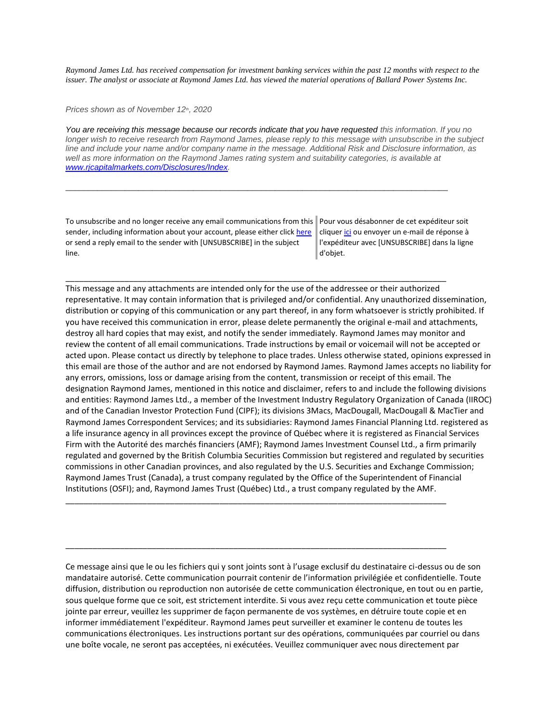*Raymond James Ltd. has received compensation for investment banking services within the past 12 months with respect to the issuer. The analyst or associate at Raymond James Ltd. has viewed the material operations of Ballard Power Systems Inc.*

*Prices shown as of November 12th, 2020*

You are receiving this message because our records indicate that you have requested this information. If you no *longer wish to receive research from Raymond James, please reply to this message with unsubscribe in the subject line and include your name and/or company name in the message. Additional Risk and Disclosure information, as well as more information on the Raymond James rating system and suitability categories, is available at [www.rjcapitalmarkets.com/Disclosures/Index.](https://eur04.safelinks.protection.outlook.com/?url=https%3A%2F%2Furldefense.proofpoint.com%2Fv2%2Furl%3Fu%3Dhttps-3A__nam11.safelinks.protection.outlook.com_-3Furl-3Dhttps-253A-252F-252Fowa-2Dkel.raymondjames.ca-252Fowa-252Fredir.aspx-253FSURL-253DxhOB4gpVfLOskwdkUL9L2f18Fq4IG2rgvMfuIIX7BlwZiacj7DPTCGgAdAB0AHAAOgAvAC8AdwB3AHcALgByAGoAYwBhAHAAaQB0AGEAbABtAGEAcgBrAGUAdABzAC4AYwBvAG0ALwBEAGkAcwBjAGwAbwBzAHUAcgBlAHMALwBJAG4AZABlAHgA-2526URL-253Dhttp-25253a-25252f-25252fwww.rjcapitalmarkets.com-25252fDisclosures-25252fIndex-26data-3D02-257C01-257C-257Cc172461ecbee4482512908d85e8192cf-257C84df9e7fe9f640afb435aaaaaaaaaaaa-257C1-257C0-257C637363258183655664-26sdata-3DoIGN-252B1v-252BJNQ-252BZPo1ywEHtDOfbELe3OmLG-252FFg-252FM3Utoc-253D-26reserved-3D0%26d%3DDwMF-g%26c%3DK3dQCUGiI1B95NJ6cl3GoyhMW2dvBOfimZA-83UXll0%26r%3D_6MBBSGYsFznIBwslhTiqBKEz4pHUCTd_9tbh_EpUMY%26m%3D7qOaEnVxLdGuCP74qXGTNk9xkBSFm8R3CYYmRfTv9PQ%26s%3DDBdK_pzBuQHicYmhkDa-8JlRVcVl-oi24aL_wseaH40%26e%3D&data=02%7C01%7C%7C8a16eb9ab3cc4e585bab08d86b14e24b%7C84df9e7fe9f640afb435aaaaaaaaaaaa%7C1%7C0%7C637377085227594375&sdata=vgGto1%2FhV2xjMnN%2FKDjJX5uFHJYLmdfONSg1ff%2FTQzY%3D&reserved=0)*

\_\_\_\_\_\_\_\_\_\_\_\_\_\_\_\_\_\_\_\_\_\_\_\_\_\_\_\_\_\_\_\_\_\_\_\_\_\_\_\_\_\_\_\_\_\_\_\_\_\_\_\_\_\_\_\_\_\_\_\_\_\_\_\_\_\_\_\_\_\_\_\_\_\_\_\_\_\_\_\_\_\_\_\_

\_\_\_\_\_\_\_\_\_\_\_\_\_\_\_\_\_\_\_\_\_\_\_\_\_\_\_\_\_\_\_\_\_\_\_\_\_\_\_\_\_\_\_\_\_\_\_\_\_\_\_\_\_\_\_\_\_\_\_\_\_\_\_\_\_\_\_\_\_\_\_\_\_\_\_\_\_\_\_\_\_\_\_\_

To unsubscribe and no longer receive any email communications from this sender, including information about your account, please either clic[k here](mailto:paul.siluch@raymondjames.ca?subject=[UNSUBSCRIBE]&body=I%20wish%20to%20unsubscribe%20from%20all%20commercial%20electronic%20messages%20from%20this%20sender.%20%20There%20may%20be%20other%20employees%20or%20agents%20within%20Raymond%20James%20which%20communicate%20with%20me%20electronically%20and%20I%20understand%20that%20I%20may%20unsubscribe%20from%20these%20senders%20separately.) or send a reply email to the sender with [UNSUBSCRIBE] in the subject line.

Pour vous désabonner de cet expéditeur soit clique[r ici](mailto:paul.siluch@raymondjames.ca?subject=[UNSUBSCRIBE]&body=Je%20souhaite%20me%20désinscrire%20de%20tous%20les%20messages%20électroniques%20commerciaux.%20Il%20peut%20y%20avoir%20d) ou envoyer un e-mail de réponse à l'expéditeur avec [UNSUBSCRIBE] dans la ligne d'objet.

This message and any attachments are intended only for the use of the addressee or their authorized representative. It may contain information that is privileged and/or confidential. Any unauthorized dissemination, distribution or copying of this communication or any part thereof, in any form whatsoever is strictly prohibited. If you have received this communication in error, please delete permanently the original e-mail and attachments, destroy all hard copies that may exist, and notify the sender immediately. Raymond James may monitor and review the content of all email communications. Trade instructions by email or voicemail will not be accepted or acted upon. Please contact us directly by telephone to place trades. Unless otherwise stated, opinions expressed in this email are those of the author and are not endorsed by Raymond James. Raymond James accepts no liability for any errors, omissions, loss or damage arising from the content, transmission or receipt of this email. The designation Raymond James, mentioned in this notice and disclaimer, refers to and include the following divisions and entities: Raymond James Ltd., a member of the Investment Industry Regulatory Organization of Canada (IIROC) and of the Canadian Investor Protection Fund (CIPF); its divisions 3Macs, MacDougall, MacDougall & MacTier and Raymond James Correspondent Services; and its subsidiaries: Raymond James Financial Planning Ltd. registered as a life insurance agency in all provinces except the province of Québec where it is registered as Financial Services Firm with the Autorité des marchés financiers (AMF); Raymond James Investment Counsel Ltd., a firm primarily regulated and governed by the British Columbia Securities Commission but registered and regulated by securities commissions in other Canadian provinces, and also regulated by the U.S. Securities and Exchange Commission; Raymond James Trust (Canada), a trust company regulated by the Office of the Superintendent of Financial Institutions (OSFI); and, Raymond James Trust (Québec) Ltd., a trust company regulated by the AMF.

Ce message ainsi que le ou les fichiers qui y sont joints sont à l'usage exclusif du destinataire ci-dessus ou de son mandataire autorisé. Cette communication pourrait contenir de l'information privilégiée et confidentielle. Toute diffusion, distribution ou reproduction non autorisée de cette communication électronique, en tout ou en partie, sous quelque forme que ce soit, est strictement interdite. Si vous avez reçu cette communication et toute pièce jointe par erreur, veuillez les supprimer de façon permanente de vos systèmes, en détruire toute copie et en informer immédiatement l'expéditeur. Raymond James peut surveiller et examiner le contenu de toutes les communications électroniques. Les instructions portant sur des opérations, communiquées par courriel ou dans une boîte vocale, ne seront pas acceptées, ni exécutées. Veuillez communiquer avec nous directement par

\_\_\_\_\_\_\_\_\_\_\_\_\_\_\_\_\_\_\_\_\_\_\_\_\_\_\_\_\_\_\_\_\_\_\_\_\_\_\_\_\_\_\_\_\_\_\_\_\_\_\_\_\_\_\_\_\_\_\_\_\_\_\_\_\_\_\_\_\_\_\_\_\_\_\_\_\_\_\_\_\_\_\_\_

\_\_\_\_\_\_\_\_\_\_\_\_\_\_\_\_\_\_\_\_\_\_\_\_\_\_\_\_\_\_\_\_\_\_\_\_\_\_\_\_\_\_\_\_\_\_\_\_\_\_\_\_\_\_\_\_\_\_\_\_\_\_\_\_\_\_\_\_\_\_\_\_\_\_\_\_\_\_\_\_\_\_\_\_